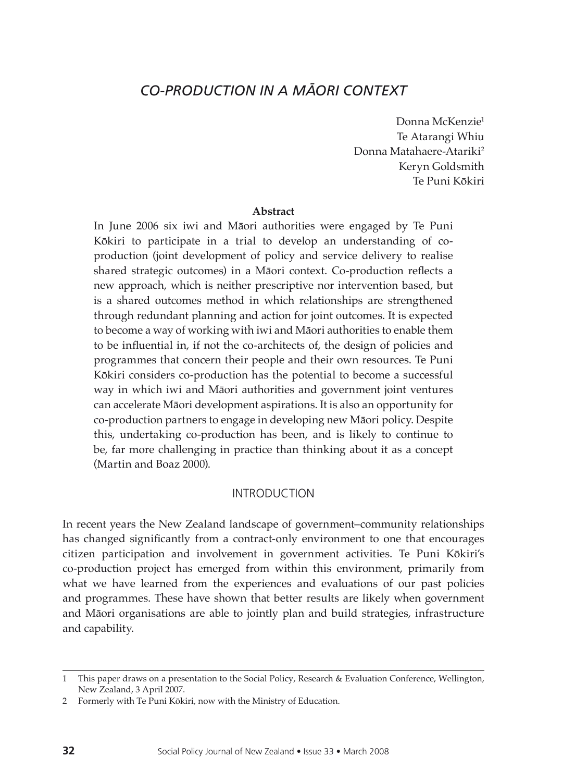# *CO-PRODUCTION IN A MA-ORI CONTEXT*

Donna McKenzie<sup>1</sup> Te Atarangi Whiu Donna Matahaere-Atariki<sup>2</sup> Keryn Goldsmith Te Puni Kōkiri

#### **Abstract**

In June 2006 six iwi and Māori authorities were engaged by Te Puni Kōkiri to participate in a trial to develop an understanding of coproduction (joint development of policy and service delivery to realise shared strategic outcomes) in a Māori context. Co-production reflects a new approach, which is neither prescriptive nor intervention based, but is a shared outcomes method in which relationships are strengthened through redundant planning and action for joint outcomes. It is expected to become a way of working with iwi and Māori authorities to enable them to be influential in, if not the co-architects of, the design of policies and programmes that concern their people and their own resources. Te Puni Kōkiri considers co-production has the potential to become a successful way in which iwi and Māori authorities and government joint ventures can accelerate Māori development aspirations. It is also an opportunity for co-production partners to engage in developing new Māori policy. Despite this, undertaking co-production has been, and is likely to continue to be, far more challenging in practice than thinking about it as a concept (Martin and Boaz 2000).

#### **INTRODUCTION**

In recent years the New Zealand landscape of government–community relationships has changed significantly from a contract-only environment to one that encourages citizen participation and involvement in government activities. Te Puni Kōkiri's co-production project has emerged from within this environment, primarily from what we have learned from the experiences and evaluations of our past policies and programmes. These have shown that better results are likely when government and Māori organisations are able to jointly plan and build strategies, infrastructure and capability.

<sup>1</sup> This paper draws on a presentation to the Social Policy, Research & Evaluation Conference, Wellington, New Zealand, 3 April 2007.

<sup>2</sup> Formerly with Te Puni Kōkiri, now with the Ministry of Education.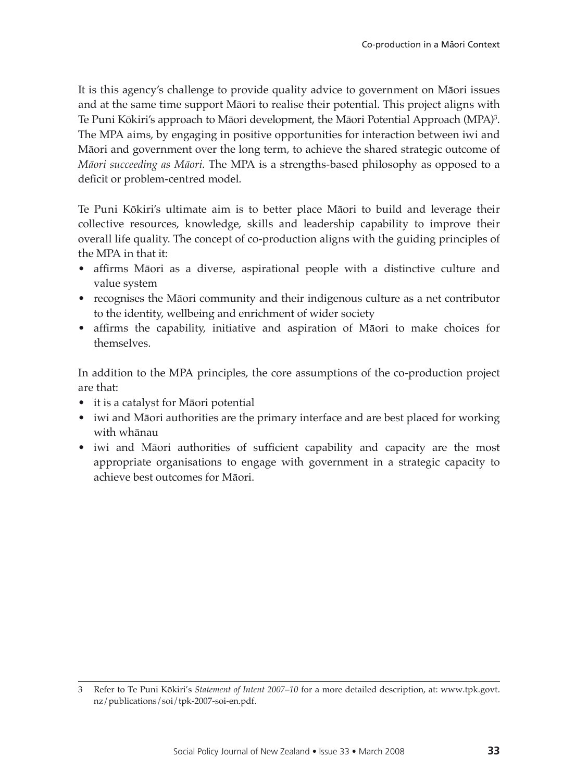It is this agency's challenge to provide quality advice to government on Māori issues and at the same time support Māori to realise their potential. This project aligns with Te Puni Kōkiri's approach to Māori development, the Māori Potential Approach (MPA)<sup>3</sup>. The MPA aims, by engaging in positive opportunities for interaction between iwi and Māori and government over the long term, to achieve the shared strategic outcome of *Māori succeeding as Māori*. The MPA is a strengths-based philosophy as opposed to a deficit or problem-centred model.

Te Puni Kōkiri's ultimate aim is to better place Māori to build and leverage their collective resources, knowledge, skills and leadership capability to improve their overall life quality. The concept of co-production aligns with the guiding principles of the MPA in that it:

- • affirms Māori as a diverse, aspirational people with a distinctive culture and value system
- recognises the Māori community and their indigenous culture as a net contributor to the identity, wellbeing and enrichment of wider society
- • affirms the capability, initiative and aspiration of Māori to make choices for themselves.

In addition to the MPA principles, the core assumptions of the co-production project are that:

- it is a catalyst for Māori potential
- iwi and Māori authorities are the primary interface and are best placed for working with whānau
- iwi and Māori authorities of sufficient capability and capacity are the most appropriate organisations to engage with government in a strategic capacity to achieve best outcomes for Māori.

<sup>3</sup> Refer to Te Puni Kōkiri's *Statement of Intent 2007*–*10* for a more detailed description, at: www.tpk.govt. nz/publications/soi/tpk-2007-soi-en.pdf.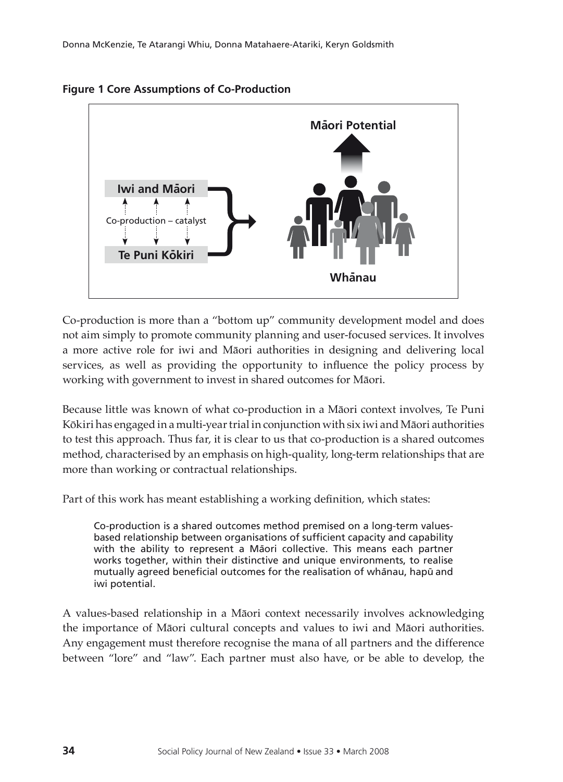

#### **Figure 1 Core Assumptions of Co-Production**

Co-production is more than a "bottom up" community development model and does not aim simply to promote community planning and user-focused services. It involves a more active role for iwi and Māori authorities in designing and delivering local services, as well as providing the opportunity to influence the policy process by working with government to invest in shared outcomes for Māori.

Because little was known of what co-production in a Māori context involves, Te Puni Kōkiri has engaged in a multi-year trial in conjunction with six iwi and Māori authorities to test this approach. Thus far, it is clear to us that co-production is a shared outcomes method, characterised by an emphasis on high-quality, long-term relationships that are more than working or contractual relationships.

Part of this work has meant establishing a working definition, which states:

Co-production is a shared outcomes method premised on a long-term valuesbased relationship between organisations of sufficient capacity and capability with the ability to represent a Māori collective. This means each partner works together, within their distinctive and unique environments, to realise mutually agreed beneficial outcomes for the realisation of whanau, hapu and iwi potential.

A values-based relationship in a Māori context necessarily involves acknowledging the importance of Māori cultural concepts and values to iwi and Māori authorities. Any engagement must therefore recognise the mana of all partners and the difference between "lore" and "law". Each partner must also have, or be able to develop, the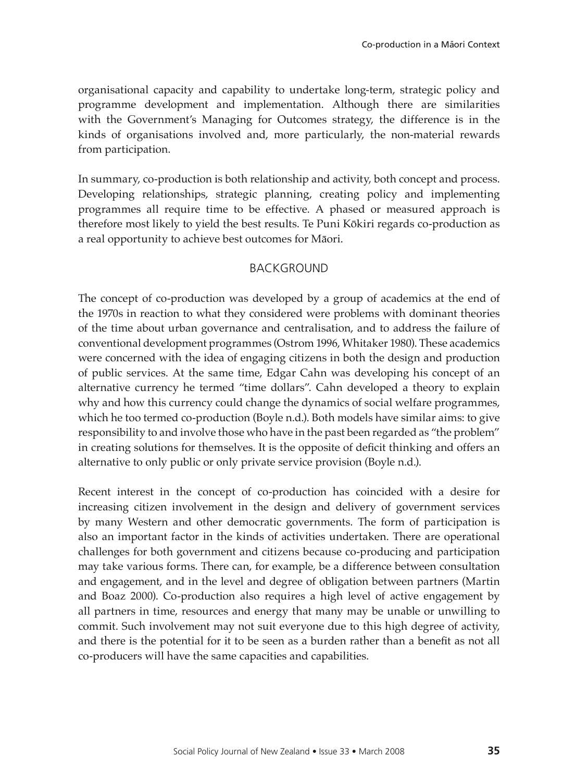organisational capacity and capability to undertake long-term, strategic policy and programme development and implementation. Although there are similarities with the Government's Managing for Outcomes strategy, the difference is in the kinds of organisations involved and, more particularly, the non-material rewards from participation.

In summary, co-production is both relationship and activity, both concept and process. Developing relationships, strategic planning, creating policy and implementing programmes all require time to be effective. A phased or measured approach is therefore most likely to yield the best results. Te Puni Kōkiri regards co-production as a real opportunity to achieve best outcomes for Māori.

## **BACKGROUND**

The concept of co-production was developed by a group of academics at the end of the 1970s in reaction to what they considered were problems with dominant theories of the time about urban governance and centralisation, and to address the failure of conventional development programmes (Ostrom 1996, Whitaker 1980). These academics were concerned with the idea of engaging citizens in both the design and production of public services. At the same time, Edgar Cahn was developing his concept of an alternative currency he termed "time dollars". Cahn developed a theory to explain why and how this currency could change the dynamics of social welfare programmes, which he too termed co-production (Boyle n.d.). Both models have similar aims: to give responsibility to and involve those who have in the past been regarded as "the problem" in creating solutions for themselves. It is the opposite of deficit thinking and offers an alternative to only public or only private service provision (Boyle n.d.).

Recent interest in the concept of co-production has coincided with a desire for increasing citizen involvement in the design and delivery of government services by many Western and other democratic governments. The form of participation is also an important factor in the kinds of activities undertaken. There are operational challenges for both government and citizens because co-producing and participation may take various forms. There can, for example, be a difference between consultation and engagement, and in the level and degree of obligation between partners (Martin and Boaz 2000). Co-production also requires a high level of active engagement by all partners in time, resources and energy that many may be unable or unwilling to commit. Such involvement may not suit everyone due to this high degree of activity, and there is the potential for it to be seen as a burden rather than a benefit as not all co-producers will have the same capacities and capabilities.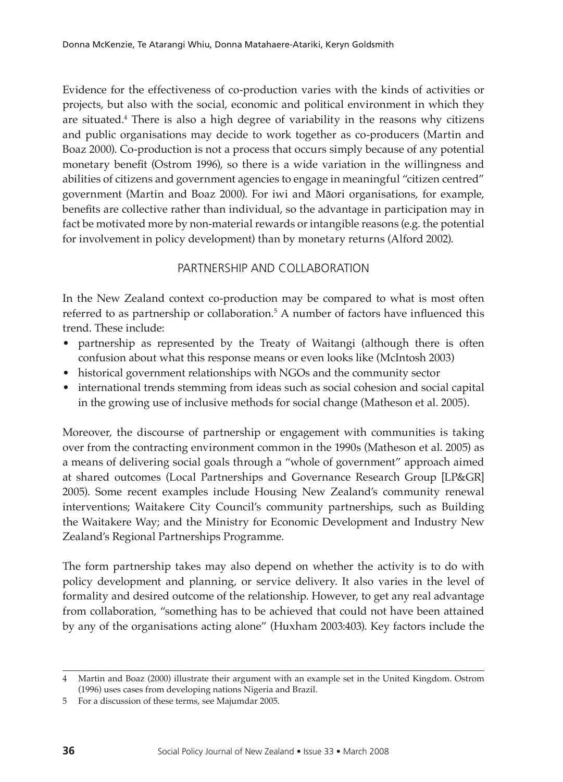Evidence for the effectiveness of co-production varies with the kinds of activities or projects, but also with the social, economic and political environment in which they are situated.<sup>4</sup> There is also a high degree of variability in the reasons why citizens and public organisations may decide to work together as co-producers (Martin and Boaz 2000). Co-production is not a process that occurs simply because of any potential monetary benefit (Ostrom 1996), so there is a wide variation in the willingness and abilities of citizens and government agencies to engage in meaningful "citizen centred" government (Martin and Boaz 2000). For iwi and Māori organisations, for example, benefits are collective rather than individual, so the advantage in participation may in fact be motivated more by non-material rewards or intangible reasons (e.g. the potential for involvement in policy development) than by monetary returns (Alford 2002).

## Partnership and Collaboration

In the New Zealand context co-production may be compared to what is most often referred to as partnership or collaboration.<sup>5</sup> A number of factors have influenced this trend. These include:

- partnership as represented by the Treaty of Waitangi (although there is often confusion about what this response means or even looks like (McIntosh 2003)
- historical government relationships with NGOs and the community sector
- international trends stemming from ideas such as social cohesion and social capital in the growing use of inclusive methods for social change (Matheson et al. 2005).

Moreover, the discourse of partnership or engagement with communities is taking over from the contracting environment common in the 1990s (Matheson et al. 2005) as a means of delivering social goals through a "whole of government" approach aimed at shared outcomes (Local Partnerships and Governance Research Group [LP&GR] 2005). Some recent examples include Housing New Zealand's community renewal interventions; Waitakere City Council's community partnerships, such as Building the Waitakere Way; and the Ministry for Economic Development and Industry New Zealand's Regional Partnerships Programme.

The form partnership takes may also depend on whether the activity is to do with policy development and planning, or service delivery. It also varies in the level of formality and desired outcome of the relationship. However, to get any real advantage from collaboration, "something has to be achieved that could not have been attained by any of the organisations acting alone" (Huxham 2003:403). Key factors include the

<sup>4</sup> Martin and Boaz (2000) illustrate their argument with an example set in the United Kingdom. Ostrom (1996) uses cases from developing nations Nigeria and Brazil.

<sup>5</sup> For a discussion of these terms, see Majumdar 2005.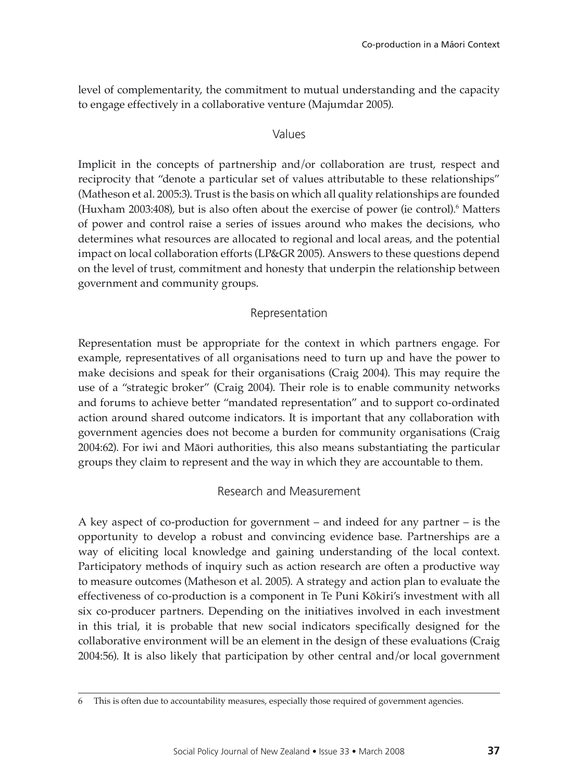level of complementarity, the commitment to mutual understanding and the capacity to engage effectively in a collaborative venture (Majumdar 2005).

## Values

Implicit in the concepts of partnership and/or collaboration are trust, respect and reciprocity that "denote a particular set of values attributable to these relationships" (Matheson et al. 2005:3). Trust is the basis on which all quality relationships are founded (Huxham 2003:408), but is also often about the exercise of power (ie control).<sup>6</sup> Matters of power and control raise a series of issues around who makes the decisions, who determines what resources are allocated to regional and local areas, and the potential impact on local collaboration efforts (LP&GR 2005). Answers to these questions depend on the level of trust, commitment and honesty that underpin the relationship between government and community groups.

# Representation

Representation must be appropriate for the context in which partners engage. For example, representatives of all organisations need to turn up and have the power to make decisions and speak for their organisations (Craig 2004). This may require the use of a "strategic broker" (Craig 2004). Their role is to enable community networks and forums to achieve better "mandated representation" and to support co-ordinated action around shared outcome indicators. It is important that any collaboration with government agencies does not become a burden for community organisations (Craig 2004:62). For iwi and Māori authorities, this also means substantiating the particular groups they claim to represent and the way in which they are accountable to them.

# Research and Measurement

A key aspect of co-production for government – and indeed for any partner – is the opportunity to develop a robust and convincing evidence base. Partnerships are a way of eliciting local knowledge and gaining understanding of the local context. Participatory methods of inquiry such as action research are often a productive way to measure outcomes (Matheson et al. 2005). A strategy and action plan to evaluate the effectiveness of co-production is a component in Te Puni Kōkiri's investment with all six co-producer partners. Depending on the initiatives involved in each investment in this trial, it is probable that new social indicators specifically designed for the collaborative environment will be an element in the design of these evaluations (Craig 2004:56). It is also likely that participation by other central and/or local government

This is often due to accountability measures, especially those required of government agencies.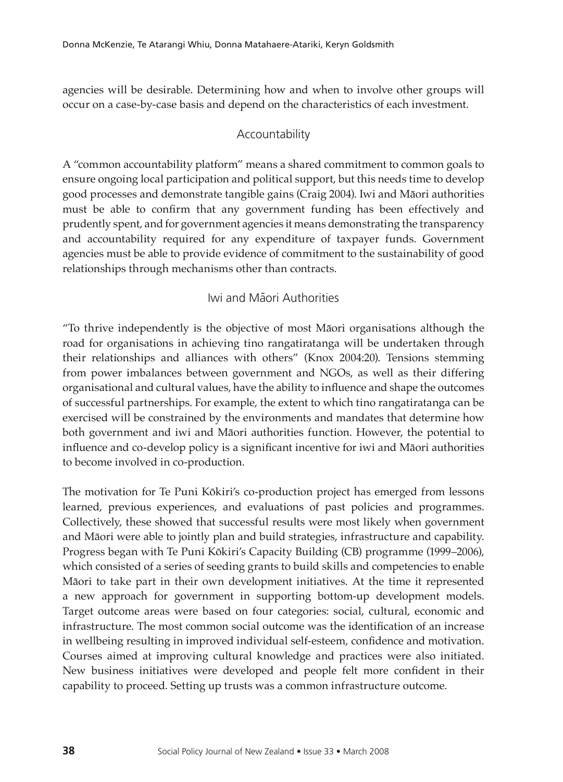agencies will be desirable. Determining how and when to involve other groups will occur on a case-by-case basis and depend on the characteristics of each investment.

# Accountability

A "common accountability platform" means a shared commitment to common goals to ensure ongoing local participation and political support, but this needs time to develop good processes and demonstrate tangible gains (Craig 2004). Iwi and Māori authorities must be able to confirm that any government funding has been effectively and prudently spent, and for government agencies it means demonstrating the transparency and accountability required for any expenditure of taxpayer funds. Government agencies must be able to provide evidence of commitment to the sustainability of good relationships through mechanisms other than contracts.

# Iwi and Māori Authorities

"To thrive independently is the objective of most Māori organisations although the road for organisations in achieving tino rangatiratanga will be undertaken through their relationships and alliances with others" (Knox 2004:20). Tensions stemming from power imbalances between government and NGOs, as well as their differing organisational and cultural values, have the ability to influence and shape the outcomes of successful partnerships. For example, the extent to which tino rangatiratanga can be exercised will be constrained by the environments and mandates that determine how both government and iwi and Māori authorities function. However, the potential to influence and co-develop policy is a significant incentive for iwi and Māori authorities to become involved in co-production.

The motivation for Te Puni Kōkiri's co-production project has emerged from lessons learned, previous experiences, and evaluations of past policies and programmes. Collectively, these showed that successful results were most likely when government and Māori were able to jointly plan and build strategies, infrastructure and capability. Progress began with Te Puni Kōkiri's Capacity Building (CB) programme (1999–2006), which consisted of a series of seeding grants to build skills and competencies to enable Māori to take part in their own development initiatives. At the time it represented a new approach for government in supporting bottom-up development models. Target outcome areas were based on four categories: social, cultural, economic and infrastructure. The most common social outcome was the identification of an increase in wellbeing resulting in improved individual self-esteem, confidence and motivation. Courses aimed at improving cultural knowledge and practices were also initiated. New business initiatives were developed and people felt more confident in their capability to proceed. Setting up trusts was a common infrastructure outcome.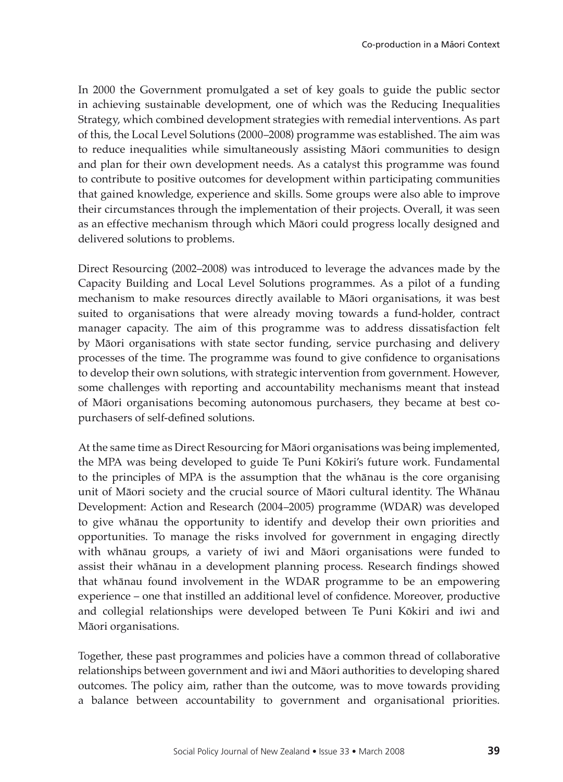In 2000 the Government promulgated a set of key goals to guide the public sector in achieving sustainable development, one of which was the Reducing Inequalities Strategy, which combined development strategies with remedial interventions. As part of this, the Local Level Solutions (2000–2008) programme was established. The aim was to reduce inequalities while simultaneously assisting Māori communities to design and plan for their own development needs. As a catalyst this programme was found to contribute to positive outcomes for development within participating communities that gained knowledge, experience and skills. Some groups were also able to improve their circumstances through the implementation of their projects. Overall, it was seen as an effective mechanism through which Māori could progress locally designed and delivered solutions to problems.

Direct Resourcing (2002–2008) was introduced to leverage the advances made by the Capacity Building and Local Level Solutions programmes. As a pilot of a funding mechanism to make resources directly available to Māori organisations, it was best suited to organisations that were already moving towards a fund-holder, contract manager capacity. The aim of this programme was to address dissatisfaction felt by Māori organisations with state sector funding, service purchasing and delivery processes of the time. The programme was found to give confidence to organisations to develop their own solutions, with strategic intervention from government. However, some challenges with reporting and accountability mechanisms meant that instead of Māori organisations becoming autonomous purchasers, they became at best copurchasers of self-defined solutions.

At the same time as Direct Resourcing for Māori organisations was being implemented, the MPA was being developed to guide Te Puni Kōkiri's future work. Fundamental to the principles of MPA is the assumption that the whānau is the core organising unit of Māori society and the crucial source of Māori cultural identity. The Whānau Development: Action and Research (2004–2005) programme (WDAR) was developed to give whānau the opportunity to identify and develop their own priorities and opportunities. To manage the risks involved for government in engaging directly with whānau groups, a variety of iwi and Māori organisations were funded to assist their whānau in a development planning process. Research findings showed that whānau found involvement in the WDAR programme to be an empowering experience – one that instilled an additional level of confidence. Moreover, productive and collegial relationships were developed between Te Puni Kōkiri and iwi and Māori organisations.

Together, these past programmes and policies have a common thread of collaborative relationships between government and iwi and Māori authorities to developing shared outcomes. The policy aim, rather than the outcome, was to move towards providing a balance between accountability to government and organisational priorities.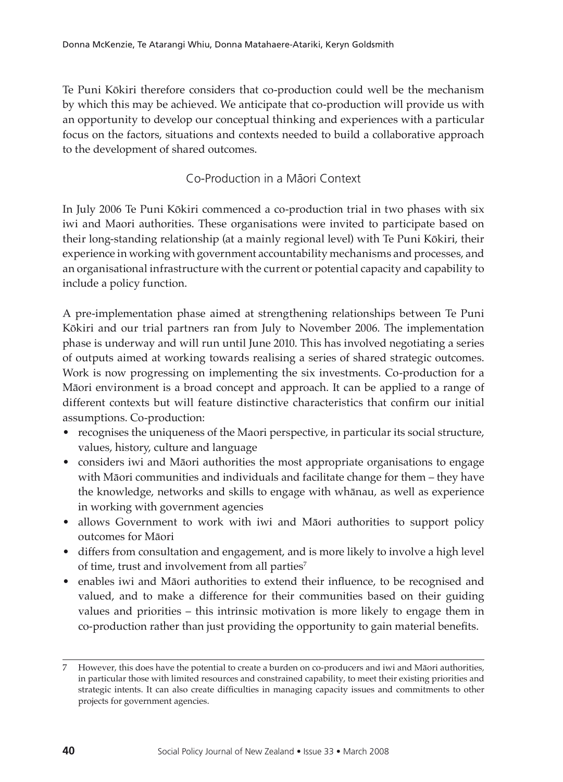Te Puni Kōkiri therefore considers that co-production could well be the mechanism by which this may be achieved. We anticipate that co-production will provide us with an opportunity to develop our conceptual thinking and experiences with a particular focus on the factors, situations and contexts needed to build a collaborative approach to the development of shared outcomes.

# Co-Production in a Māori Context

In July 2006 Te Puni Kōkiri commenced a co-production trial in two phases with six iwi and Maori authorities. These organisations were invited to participate based on their long-standing relationship (at a mainly regional level) with Te Puni Kōkiri, their experience in working with government accountability mechanisms and processes, and an organisational infrastructure with the current or potential capacity and capability to include a policy function.

A pre-implementation phase aimed at strengthening relationships between Te Puni Kōkiri and our trial partners ran from July to November 2006. The implementation phase is underway and will run until June 2010. This has involved negotiating a series of outputs aimed at working towards realising a series of shared strategic outcomes. Work is now progressing on implementing the six investments. Co-production for a Māori environment is a broad concept and approach. It can be applied to a range of different contexts but will feature distinctive characteristics that confirm our initial assumptions. Co-production:

- • recognises the uniqueness of the Maori perspective, in particular its social structure, values, history, culture and language
- considers iwi and Māori authorities the most appropriate organisations to engage with Māori communities and individuals and facilitate change for them – they have the knowledge, networks and skills to engage with whānau, as well as experience in working with government agencies
- allows Government to work with iwi and Māori authorities to support policy outcomes for Māori
- • differs from consultation and engagement, and is more likely to involve a high level of time, trust and involvement from all parties<sup>7</sup>
- enables iwi and Māori authorities to extend their influence, to be recognised and valued, and to make a difference for their communities based on their guiding values and priorities – this intrinsic motivation is more likely to engage them in co-production rather than just providing the opportunity to gain material benefits.

<sup>7</sup> However, this does have the potential to create a burden on co-producers and iwi and Māori authorities, in particular those with limited resources and constrained capability, to meet their existing priorities and strategic intents. It can also create difficulties in managing capacity issues and commitments to other projects for government agencies.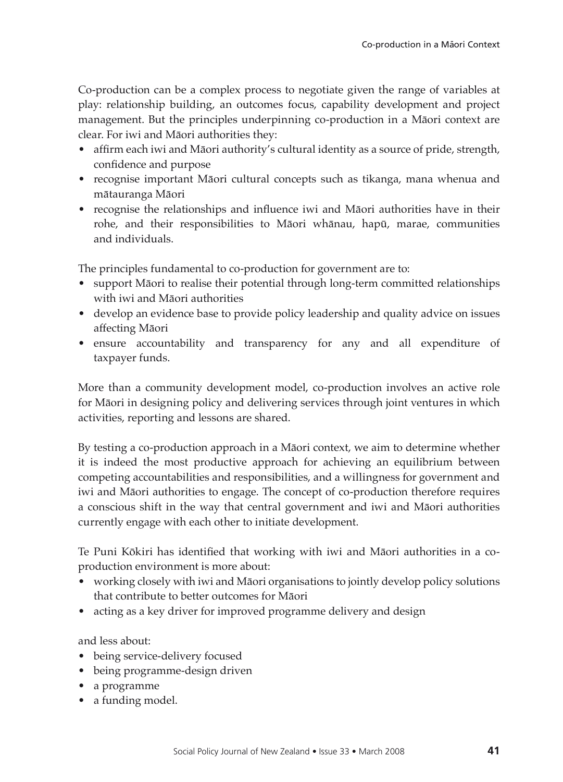Co-production can be a complex process to negotiate given the range of variables at play: relationship building, an outcomes focus, capability development and project management. But the principles underpinning co-production in a Māori context are clear. For iwi and Māori authorities they:

- • affirm each iwi and Māori authority's cultural identity as a source of pride, strength, confidence and purpose
- recognise important Māori cultural concepts such as tikanga, mana whenua and mātauranga Māori
- recognise the relationships and influence iwi and Māori authorities have in their rohe, and their responsibilities to Māori whānau, hapū, marae, communities and individuals.

The principles fundamental to co-production for government are to:

- support Māori to realise their potential through long-term committed relationships with iwi and Māori authorities
- develop an evidence base to provide policy leadership and quality advice on issues affecting Māori
- ensure accountability and transparency for any and all expenditure of taxpayer funds.

More than a community development model, co-production involves an active role for Māori in designing policy and delivering services through joint ventures in which activities, reporting and lessons are shared.

By testing a co-production approach in a Māori context, we aim to determine whether it is indeed the most productive approach for achieving an equilibrium between competing accountabilities and responsibilities, and a willingness for government and iwi and Māori authorities to engage. The concept of co-production therefore requires a conscious shift in the way that central government and iwi and Māori authorities currently engage with each other to initiate development.

Te Puni Kōkiri has identified that working with iwi and Māori authorities in a coproduction environment is more about:

- working closely with iwi and Māori organisations to jointly develop policy solutions that contribute to better outcomes for Māori
- acting as a key driver for improved programme delivery and design

and less about:

- being service-delivery focused
- • being programme-design driven
- • a programme
- a funding model.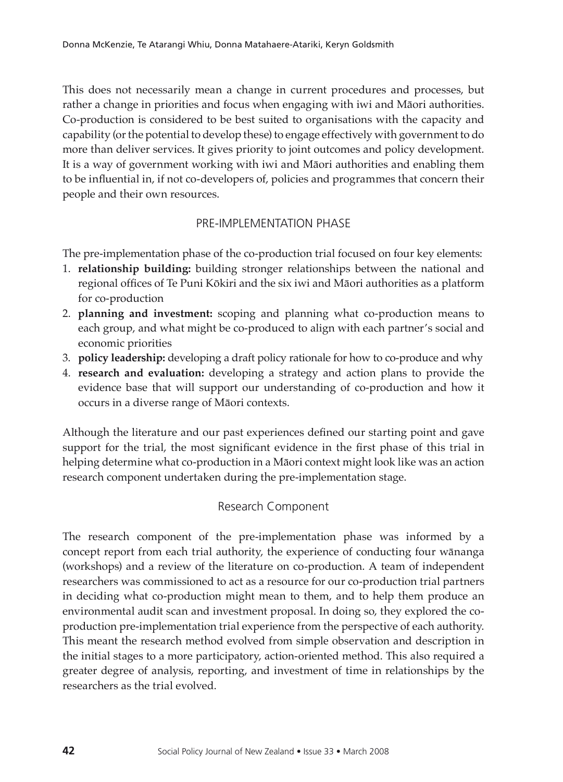This does not necessarily mean a change in current procedures and processes, but rather a change in priorities and focus when engaging with iwi and Māori authorities. Co-production is considered to be best suited to organisations with the capacity and capability (or the potential to develop these) to engage effectively with government to do more than deliver services. It gives priority to joint outcomes and policy development. It is a way of government working with iwi and Māori authorities and enabling them to be influential in, if not co-developers of, policies and programmes that concern their people and their own resources.

# Pre-implementation phase

The pre-implementation phase of the co-production trial focused on four key elements:

- 1. **relationship building:** building stronger relationships between the national and regional offices of Te Puni Kōkiri and the six iwi and Māori authorities as a platform for co-production
- 2. **planning and investment:** scoping and planning what co-production means to each group, and what might be co-produced to align with each partner's social and economic priorities
- 3. **policy leadership:** developing a draft policy rationale for how to co-produce and why
- 4. **research and evaluation:** developing a strategy and action plans to provide the evidence base that will support our understanding of co-production and how it occurs in a diverse range of Māori contexts.

Although the literature and our past experiences defined our starting point and gave support for the trial, the most significant evidence in the first phase of this trial in helping determine what co-production in a Māori context might look like was an action research component undertaken during the pre-implementation stage.

#### Research Component

The research component of the pre-implementation phase was informed by a concept report from each trial authority, the experience of conducting four wānanga (workshops) and a review of the literature on co-production. A team of independent researchers was commissioned to act as a resource for our co-production trial partners in deciding what co-production might mean to them, and to help them produce an environmental audit scan and investment proposal. In doing so, they explored the coproduction pre-implementation trial experience from the perspective of each authority. This meant the research method evolved from simple observation and description in the initial stages to a more participatory, action-oriented method. This also required a greater degree of analysis, reporting, and investment of time in relationships by the researchers as the trial evolved.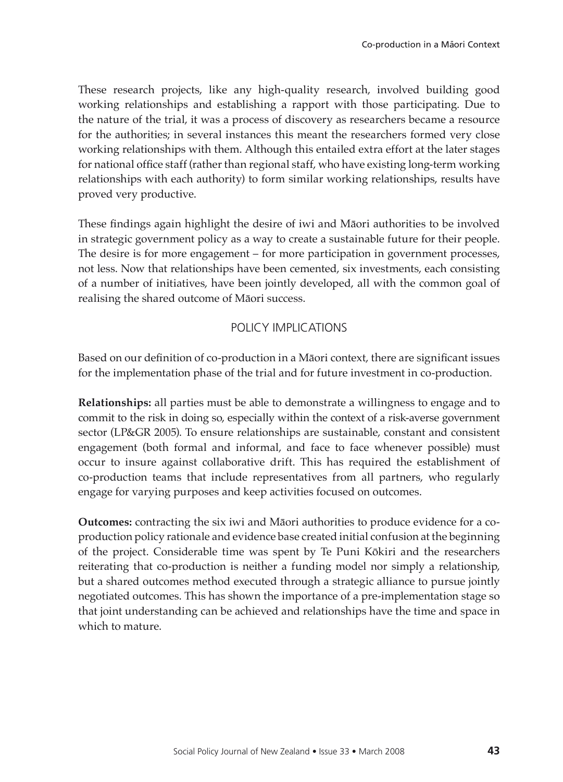These research projects, like any high-quality research, involved building good working relationships and establishing a rapport with those participating. Due to the nature of the trial, it was a process of discovery as researchers became a resource for the authorities; in several instances this meant the researchers formed very close working relationships with them. Although this entailed extra effort at the later stages for national office staff (rather than regional staff, who have existing long-term working relationships with each authority) to form similar working relationships, results have proved very productive.

These findings again highlight the desire of iwi and Māori authorities to be involved in strategic government policy as a way to create a sustainable future for their people. The desire is for more engagement – for more participation in government processes, not less. Now that relationships have been cemented, six investments, each consisting of a number of initiatives, have been jointly developed, all with the common goal of realising the shared outcome of Māori success.

# Policy Implications

Based on our definition of co-production in a Māori context, there are significant issues for the implementation phase of the trial and for future investment in co-production.

**Relationships:** all parties must be able to demonstrate a willingness to engage and to commit to the risk in doing so, especially within the context of a risk-averse government sector (LP&GR 2005). To ensure relationships are sustainable, constant and consistent engagement (both formal and informal, and face to face whenever possible) must occur to insure against collaborative drift. This has required the establishment of co-production teams that include representatives from all partners, who regularly engage for varying purposes and keep activities focused on outcomes.

**Outcomes:** contracting the six iwi and Māori authorities to produce evidence for a coproduction policy rationale and evidence base created initial confusion at the beginning of the project. Considerable time was spent by Te Puni Kōkiri and the researchers reiterating that co-production is neither a funding model nor simply a relationship, but a shared outcomes method executed through a strategic alliance to pursue jointly negotiated outcomes. This has shown the importance of a pre-implementation stage so that joint understanding can be achieved and relationships have the time and space in which to mature.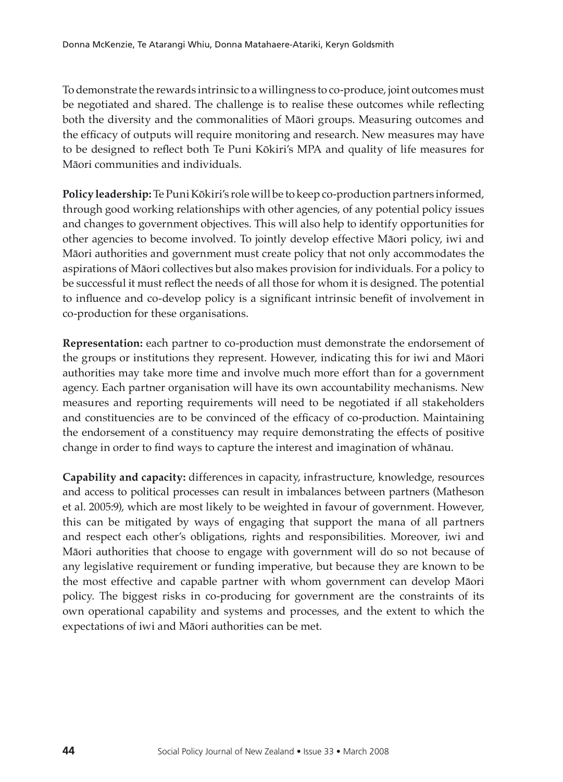To demonstrate the rewards intrinsic to a willingness to co-produce, joint outcomes must be negotiated and shared. The challenge is to realise these outcomes while reflecting both the diversity and the commonalities of Māori groups. Measuring outcomes and the efficacy of outputs will require monitoring and research. New measures may have to be designed to reflect both Te Puni Kōkiri's MPA and quality of life measures for Māori communities and individuals.

**Policy leadership:** Te Puni Kōkiri's role will be to keep co-production partners informed, through good working relationships with other agencies, of any potential policy issues and changes to government objectives. This will also help to identify opportunities for other agencies to become involved. To jointly develop effective Māori policy, iwi and Māori authorities and government must create policy that not only accommodates the aspirations of Māori collectives but also makes provision for individuals. For a policy to be successful it must reflect the needs of all those for whom it is designed. The potential to influence and co-develop policy is a significant intrinsic benefit of involvement in co-production for these organisations.

**Representation:** each partner to co-production must demonstrate the endorsement of the groups or institutions they represent. However, indicating this for iwi and Māori authorities may take more time and involve much more effort than for a government agency. Each partner organisation will have its own accountability mechanisms. New measures and reporting requirements will need to be negotiated if all stakeholders and constituencies are to be convinced of the efficacy of co-production. Maintaining the endorsement of a constituency may require demonstrating the effects of positive change in order to find ways to capture the interest and imagination of whānau.

**Capability and capacity:** differences in capacity, infrastructure, knowledge, resources and access to political processes can result in imbalances between partners (Matheson et al. 2005:9), which are most likely to be weighted in favour of government. However, this can be mitigated by ways of engaging that support the mana of all partners and respect each other's obligations, rights and responsibilities. Moreover, iwi and Māori authorities that choose to engage with government will do so not because of any legislative requirement or funding imperative, but because they are known to be the most effective and capable partner with whom government can develop Māori policy. The biggest risks in co-producing for government are the constraints of its own operational capability and systems and processes, and the extent to which the expectations of iwi and Māori authorities can be met.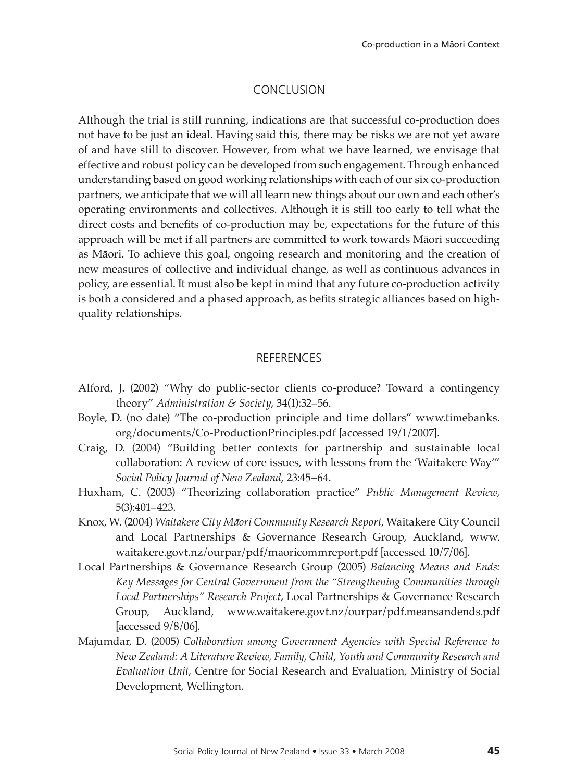#### Conclusion

Although the trial is still running, indications are that successful co-production does not have to be just an ideal. Having said this, there may be risks we are not yet aware of and have still to discover. However, from what we have learned, we envisage that effective and robust policy can be developed from such engagement. Through enhanced understanding based on good working relationships with each of our six co-production partners, we anticipate that we will all learn new things about our own and each other's operating environments and collectives. Although it is still too early to tell what the direct costs and benefits of co-production may be, expectations for the future of this approach will be met if all partners are committed to work towards Māori succeeding as Māori. To achieve this goal, ongoing research and monitoring and the creation of new measures of collective and individual change, as well as continuous advances in policy, are essential. It must also be kept in mind that any future co-production activity is both a considered and a phased approach, as befits strategic alliances based on highquality relationships.

# **REFERENCES**

- Alford, J. (2002) "Why do public-sector clients co-produce? Toward a contingency theory" *Administration & Society*, 34(1):32–56.
- Boyle, D. (no date) "The co-production principle and time dollars" www.timebanks. org/documents/Co-ProductionPrinciples.pdf [accessed 19/1/2007].
- Craig, D. (2004) "Building better contexts for partnership and sustainable local collaboration: A review of core issues, with lessons from the 'Waitakere Way'" *Social Policy Journal of New Zealand*, 23:45–64.
- Huxham, C. (2003) "Theorizing collaboration practice" *Public Management Review*, 5(3):401–423.
- Knox, W. (2004) *Waitakere City Māori Community Research Report*, Waitakere City Council and Local Partnerships & Governance Research Group, Auckland, www. waitakere.govt.nz/ourpar/pdf/maoricommreport.pdf [accessed 10/7/06].
- Local Partnerships & Governance Research Group (2005) *Balancing Means and Ends: Key Messages for Central Government from the "Strengthening Communities through Local Partnerships" Research Project*, Local Partnerships & Governance Research Group, Auckland, www.waitakere.govt.nz/ourpar/pdf.meansandends.pdf [accessed 9/8/06].
- Majumdar, D. (2005) *Collaboration among Government Agencies with Special Reference to New Zealand: A Literature Review, Family, Child, Youth and Community Research and Evaluation Unit*, Centre for Social Research and Evaluation, Ministry of Social Development, Wellington.